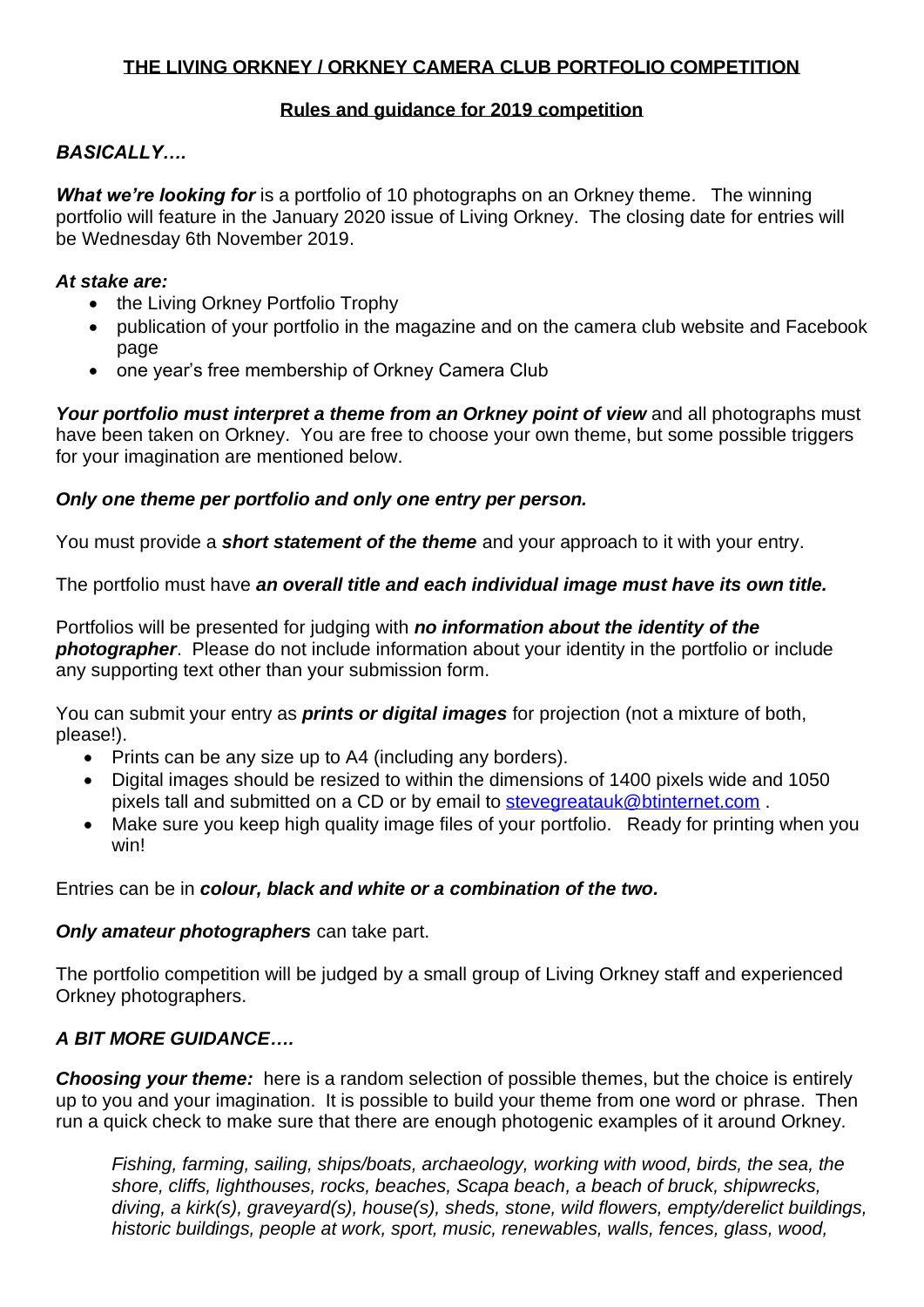## **THE LIVING ORKNEY / ORKNEY CAMERA CLUB PORTFOLIO COMPETITION**

#### **Rules and guidance for 2019 competition**

## *BASICALLY….*

*What we're looking for* is a portfolio of 10 photographs on an Orkney theme. The winning portfolio will feature in the January 2020 issue of Living Orkney. The closing date for entries will be Wednesday 6th November 2019.

#### *At stake are:*

- the Living Orkney Portfolio Trophy
- publication of your portfolio in the magazine and on the camera club website and Facebook page
- one year's free membership of Orkney Camera Club

*Your portfolio must interpret a theme from an Orkney point of view* and all photographs must have been taken on Orkney. You are free to choose your own theme, but some possible triggers for your imagination are mentioned below.

# *Only one theme per portfolio and only one entry per person.*

You must provide a *short statement of the theme* and your approach to it with your entry.

The portfolio must have *an overall title and each individual image must have its own title.*

Portfolios will be presented for judging with *no information about the identity of the photographer*. Please do not include information about your identity in the portfolio or include any supporting text other than your submission form.

You can submit your entry as *prints or digital images* for projection (not a mixture of both, please!).

- Prints can be any size up to A4 (including any borders).
- Digital images should be resized to within the dimensions of 1400 pixels wide and 1050 pixels tall and submitted on a CD or by email to [stevegreatauk@btinternet.com](mailto:stevegreatauk@btinternet.com) .
- Make sure you keep high quality image files of your portfolio. Ready for printing when you win!

Entries can be in *colour, black and white or a combination of the two.*

### *Only amateur photographers* can take part.

The portfolio competition will be judged by a small group of Living Orkney staff and experienced Orkney photographers.

# *A BIT MORE GUIDANCE….*

*Choosing your theme:* here is a random selection of possible themes, but the choice is entirely up to you and your imagination. It is possible to build your theme from one word or phrase. Then run a quick check to make sure that there are enough photogenic examples of it around Orkney.

*Fishing, farming, sailing, ships/boats, archaeology, working with wood, birds, the sea, the shore, cliffs, lighthouses, rocks, beaches, Scapa beach, a beach of bruck, shipwrecks, diving, a kirk(s), graveyard(s), house(s), sheds, stone, wild flowers, empty/derelict buildings, historic buildings, people at work, sport, music, renewables, walls, fences, glass, wood,*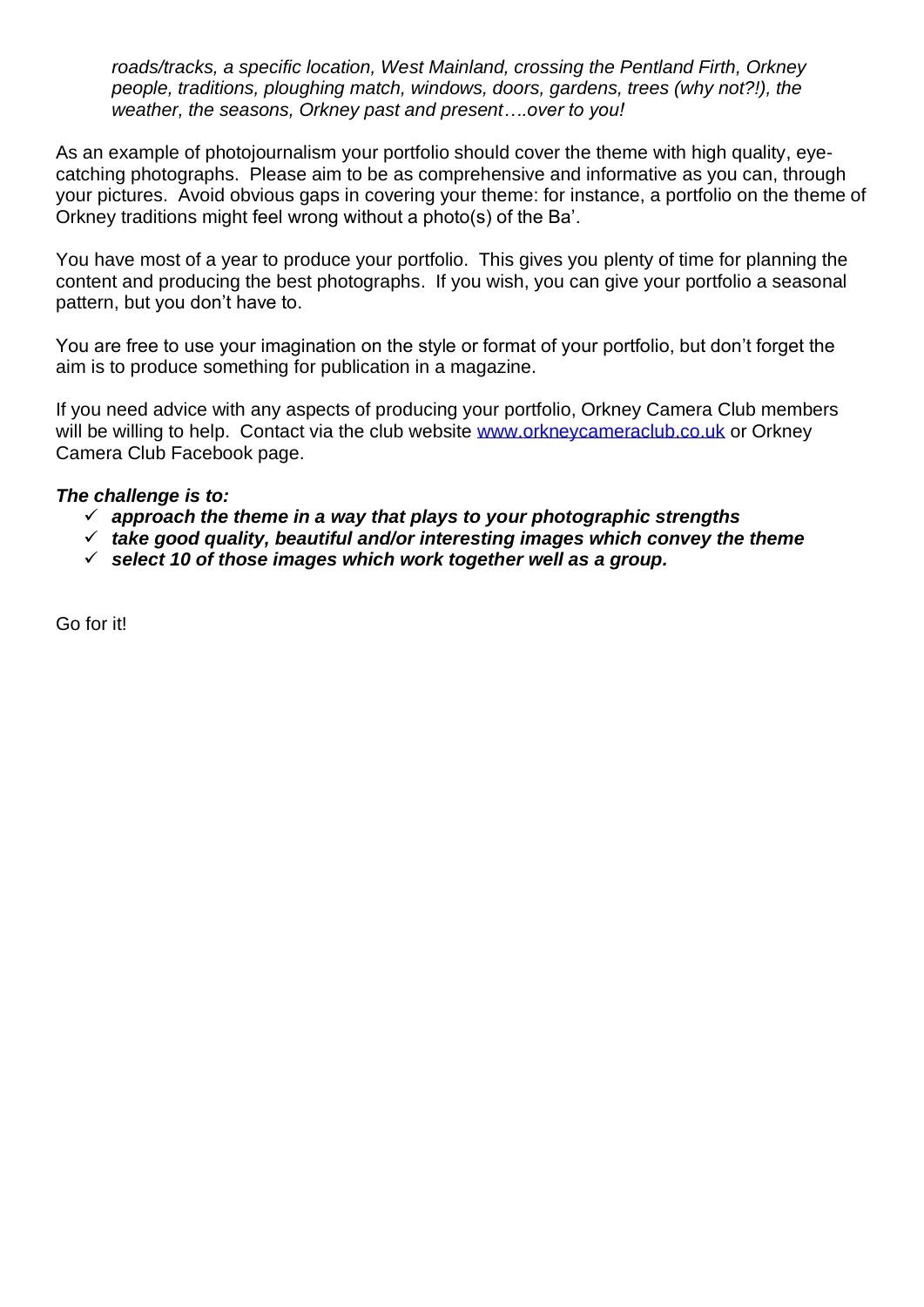*roads/tracks, a specific location, West Mainland, crossing the Pentland Firth, Orkney people, traditions, ploughing match, windows, doors, gardens, trees (why not?!), the weather, the seasons, Orkney past and present….over to you!*

As an example of photojournalism your portfolio should cover the theme with high quality, eyecatching photographs. Please aim to be as comprehensive and informative as you can, through your pictures. Avoid obvious gaps in covering your theme: for instance, a portfolio on the theme of Orkney traditions might feel wrong without a photo(s) of the Ba'.

You have most of a year to produce your portfolio. This gives you plenty of time for planning the content and producing the best photographs. If you wish, you can give your portfolio a seasonal pattern, but you don't have to.

You are free to use your imagination on the style or format of your portfolio, but don't forget the aim is to produce something for publication in a magazine.

If you need advice with any aspects of producing your portfolio, Orkney Camera Club members will be willing to help. Contact via the club website [www.orkneycameraclub.co.uk](http://www.orkneycameraclub.co.uk/) or Orkney Camera Club Facebook page.

#### *The challenge is to:*

- ✓ *approach the theme in a way that plays to your photographic strengths*
- ✓ *take good quality, beautiful and/or interesting images which convey the theme*
- ✓ *select 10 of those images which work together well as a group.*

Go for it!